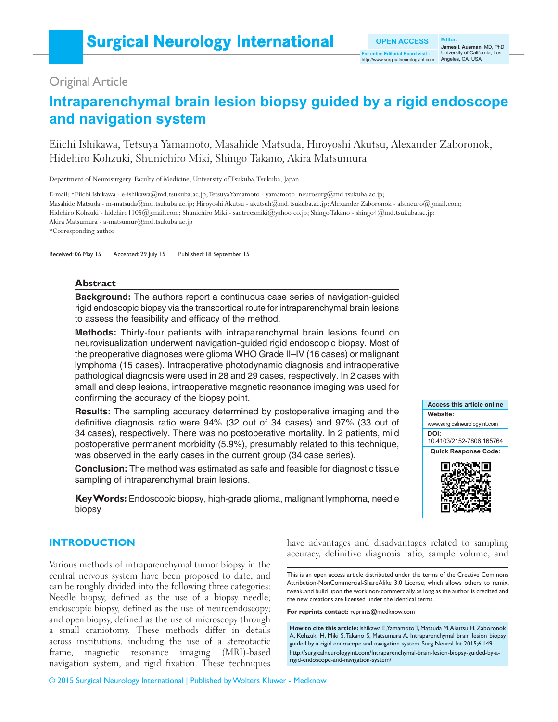# Original Article

# **Intraparenchymal brain lesion biopsy guided by a rigid endoscope and navigation system**

Eiichi Ishikawa, Tetsuya Yamamoto, Masahide Matsuda, Hiroyoshi Akutsu, Alexander Zaboronok, Hidehiro Kohzuki, Shunichiro Miki, Shingo Takano, Akira Matsumura

Department of Neurosurgery, Faculty of Medicine, University of Tsukuba, Tsukuba, Japan

E‑mail: \*Eiichi Ishikawa ‑ e‑ishikawa@md.tsukuba.ac.jp; Tetsuya Yamamoto ‑ yamamoto\_neurosurg@md.tsukuba.ac.jp; Masahide Matsuda ‑ m‑matsuda@md.tsukuba.ac.jp; Hiroyoshi Akutsu ‑ akutsuh@md.tsukuba.ac.jp; Alexander Zaboronok ‑ als.neuro@gmail.com; Hidehiro Kohzuki - hidehiro1105@gmail.com; Shunichiro Miki - santreesmiki@yahoo.co.jp; Shingo Takano - shingo4@md.tsukuba.ac.jp; Akira Matsumura ‑ a‑matsumur@md.tsukuba.ac.jp

\*Corresponding author

Received: 06 May 15 Accepted: 29 July 15 Published: 18 September 15

## **Abstract**

**Background:** The authors report a continuous case series of navigation-guided rigid endoscopic biopsy via the transcortical route for intraparenchymal brain lesions to assess the feasibility and efficacy of the method.

**Methods:** Thirty‑four patients with intraparenchymal brain lesions found on neurovisualization underwent navigation‑guided rigid endoscopic biopsy. Most of the preoperative diagnoses were glioma WHO Grade II–IV (16 cases) or malignant lymphoma (15 cases). Intraoperative photodynamic diagnosis and intraoperative pathological diagnosis were used in 28 and 29 cases, respectively. In 2 cases with small and deep lesions, intraoperative magnetic resonance imaging was used for confirming the accuracy of the biopsy point.

**Results:** The sampling accuracy determined by postoperative imaging and the definitive diagnosis ratio were 94% (32 out of 34 cases) and 97% (33 out of 34 cases), respectively. There was no postoperative mortality. In 2 patients, mild postoperative permanent morbidity (5.9%), presumably related to this technique, was observed in the early cases in the current group (34 case series).

**Conclusion:** The method was estimated as safe and feasible for diagnostic tissue sampling of intraparenchymal brain lesions.

**Key Words:** Endoscopic biopsy, high‑grade glioma, malignant lymphoma, needle biopsy



# **INTRODUCTION**

Various methods of intraparenchymal tumor biopsy in the central nervous system have been proposed to date, and can be roughly divided into the following three categories: Needle biopsy, defined as the use of a biopsy needle; endoscopic biopsy, defined as the use of neuroendoscopy; and open biopsy, defined as the use of microscopy through a small craniotomy. These methods differ in details across institutions, including the use of a stereotactic frame, magnetic resonance imaging (MRI)-based navigation system, and rigid fixation. These techniques

have advantages and disadvantages related to sampling accuracy, definitive diagnosis ratio, sample volume, and

This is an open access article distributed under the terms of the Creative Commons Attribution-NonCommercial-ShareAlike 3.0 License, which allows others to remix, tweak, and build upon the work non-commercially, as long as the author is credited and the new creations are licensed under the identical terms.

**For reprints contact:** reprints@medknow.com

**How to cite this article:** Ishikawa E, Yamamoto T, Matsuda M, Akutsu H, Zaboronok A, Kohzuki H, Miki S, Takano S, Matsumura A. Intraparenchymal brain lesion biopsy guided by a rigid endoscope and navigation system. Surg Neurol Int 2015;6:149. http://surgicalneurologyint.com/Intraparenchymal-brain-lesion-biopsy-guided-by-arigid-endoscope-and-navigation-system/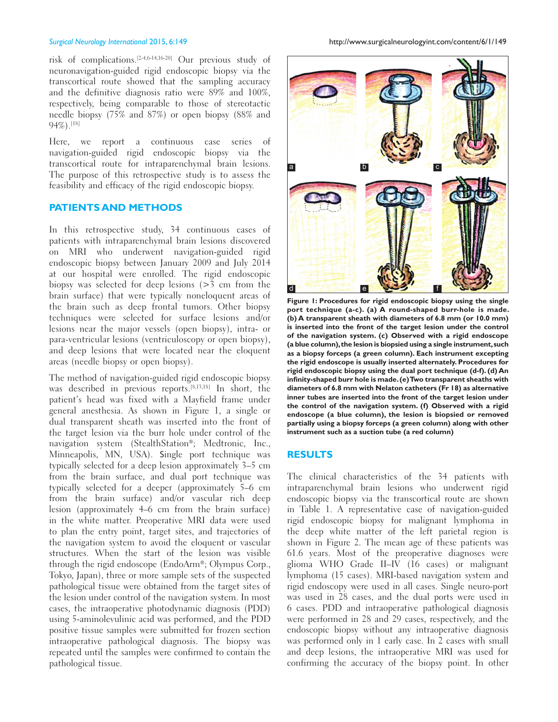risk of complications.[2‑4,6‑14,16‑20] Our previous study of neuronavigation‑guided rigid endoscopic biopsy via the transcortical route showed that the sampling accuracy and the definitive diagnosis ratio were 89% and 100%, respectively, being comparable to those of stereotactic needle biopsy (75% and 87%) or open biopsy (88% and 94%).[18]

Here, we report a continuous case series of navigation‑guided rigid endoscopic biopsy via the transcortical route for intraparenchymal brain lesions. The purpose of this retrospective study is to assess the feasibility and efficacy of the rigid endoscopic biopsy.

# **PATIENTS AND METHODS**

In this retrospective study, 34 continuous cases of patients with intraparenchymal brain lesions discovered on MRI who underwent navigation-guided rigid endoscopic biopsy between January 2009 and July 2014 at our hospital were enrolled. The rigid endoscopic biopsy was selected for deep lesions (>3 cm from the brain surface) that were typically noneloquent areas of the brain such as deep frontal tumors. Other biopsy techniques were selected for surface lesions and/or lesions near the major vessels (open biopsy), intra‑ or para‑ventricular lesions (ventriculoscopy or open biopsy), and deep lesions that were located near the eloquent areas (needle biopsy or open biopsy).

The method of navigation-guided rigid endoscopic biopsy was described in previous reports.[8,13,18] In short, the patient's head was fixed with a Mayfield frame under general anesthesia. As shown in Figure 1, a single or dual transparent sheath was inserted into the front of the target lesion via the burr hole under control of the navigation system (StealthStation®; Medtronic, Inc., Minneapolis, MN, USA). Single port technique was typically selected for a deep lesion approximately 3–5 cm from the brain surface, and dual port technique was typically selected for a deeper (approximately 5–6 cm from the brain surface) and/or vascular rich deep lesion (approximately 4–6 cm from the brain surface) in the white matter. Preoperative MRI data were used to plan the entry point, target sites, and trajectories of the navigation system to avoid the eloquent or vascular structures. When the start of the lesion was visible through the rigid endoscope (EndoArm®; Olympus Corp., Tokyo, Japan), three or more sample sets of the suspected pathological tissue were obtained from the target sites of the lesion under control of the navigation system. In most cases, the intraoperative photodynamic diagnosis (PDD) using 5‑aminolevulinic acid was performed, and the PDD positive tissue samples were submitted for frozen section intraoperative pathological diagnosis. The biopsy was repeated until the samples were confirmed to contain the pathological tissue.

*Surgical Neurology International* 2015, 6:149 http://www.surgicalneurologyint.com/content/6/1/149



**Figure 1: Procedures for rigid endoscopic biopsy using the single port technique (a-c). (a) A round-shaped burr-hole is made. (b) A transparent sheath with diameters of 6.8 mm (or 10.0 mm) is inserted into the front of the target lesion under the control of the navigation system. (c) Observed with a rigid endoscope (a blue column), the lesion is biopsied using a single instrument, such as a biopsy forceps (a green column). Each instrument excepting the rigid endoscope is usually inserted alternately. Procedures for rigid endoscopic biopsy using the dual port technique (d-f). (d) An infinity-shaped burr hole is made. (e) Two transparent sheaths with diameters of 6.8 mm with Nelaton catheters (Fr 18) as alternative inner tubes are inserted into the front of the target lesion under the control of the navigation system. (f) Observed with a rigid endoscope (a blue column), the lesion is biopsied or removed partially using a biopsy forceps (a green column) along with other instrument such as a suction tube (a red column)**

### **RESULTS**

The clinical characteristics of the 34 patients with intraparenchymal brain lesions who underwent rigid endoscopic biopsy via the transcortical route are shown in Table 1. A representative case of navigation-guided rigid endoscopic biopsy for malignant lymphoma in the deep white matter of the left parietal region is shown in Figure 2. The mean age of these patients was 61.6 years. Most of the preoperative diagnoses were glioma WHO Grade II–IV (16 cases) or malignant lymphoma (15 cases). MRI‑based navigation system and rigid endoscopy were used in all cases. Single neuro‑port was used in 28 cases, and the dual ports were used in 6 cases. PDD and intraoperative pathological diagnosis were performed in 28 and 29 cases, respectively, and the endoscopic biopsy without any intraoperative diagnosis was performed only in 1 early case. In 2 cases with small and deep lesions, the intraoperative MRI was used for confirming the accuracy of the biopsy point. In other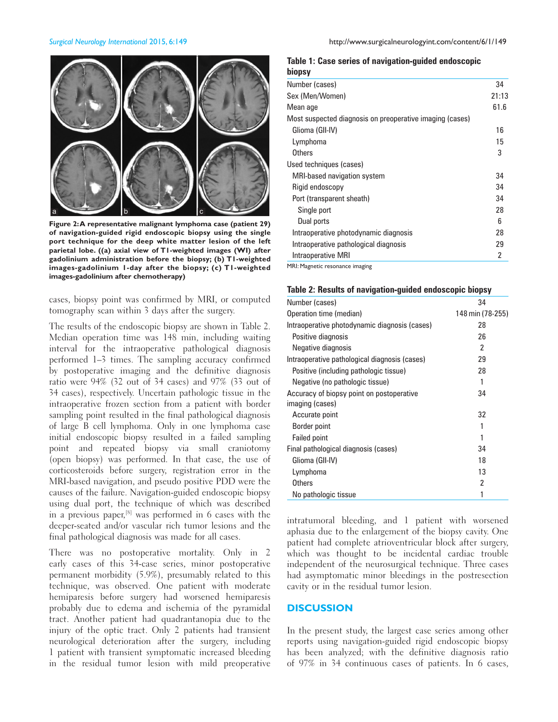

**Figure 2: A representative malignant lymphoma case (patient 29) of navigation-guided rigid endoscopic biopsy using the single port technique for the deep white matter lesion of the left parietal lobe. ((a) axial view of T1-weighted images (WI) after gadolinium administration before the biopsy; (b) T1-weighted images-gadolinium 1-day after the biopsy; (c) T1-weighted images-gadolinium after chemotherapy)**

cases, biopsy point was confirmed by MRI, or computed tomography scan within 3 days after the surgery.

The results of the endoscopic biopsy are shown in Table 2. Median operation time was 148 min, including waiting interval for the intraoperative pathological diagnosis performed 1–3 times. The sampling accuracy confirmed by postoperative imaging and the definitive diagnosis ratio were 94% (32 out of 34 cases) and 97% (33 out of 34 cases), respectively. Uncertain pathologic tissue in the intraoperative frozen section from a patient with border sampling point resulted in the final pathological diagnosis of large B cell lymphoma. Only in one lymphoma case initial endoscopic biopsy resulted in a failed sampling point and repeated biopsy via small craniotomy (open biopsy) was performed. In that case, the use of corticosteroids before surgery, registration error in the MRI‑based navigation, and pseudo positive PDD were the causes of the failure. Navigation‑guided endoscopic biopsy using dual port, the technique of which was described in a previous paper,[8] was performed in 6 cases with the deeper‑seated and/or vascular rich tumor lesions and the final pathological diagnosis was made for all cases.

There was no postoperative mortality. Only in 2 early cases of this 34‑case series, minor postoperative permanent morbidity (5.9%), presumably related to this technique, was observed. One patient with moderate hemiparesis before surgery had worsened hemiparesis probably due to edema and ischemia of the pyramidal tract. Another patient had quadrantanopia due to the injury of the optic tract. Only 2 patients had transient neurological deterioration after the surgery, including 1 patient with transient symptomatic increased bleeding in the residual tumor lesion with mild preoperative

**Table 1: Case series of navigation-guided endoscopic** 

| biopsy                                                   |      |  |
|----------------------------------------------------------|------|--|
| Number (cases)                                           | 34   |  |
| Sex (Men/Women)                                          |      |  |
| Mean age                                                 | 61.6 |  |
| Most suspected diagnosis on preoperative imaging (cases) |      |  |
| Glioma (GII-IV)                                          | 16   |  |
| Lymphoma                                                 | 15   |  |
| Others                                                   | 3    |  |
| Used techniques (cases)                                  |      |  |
| MRI-based navigation system                              | 34   |  |
| Rigid endoscopy                                          | 34   |  |
| Port (transparent sheath)                                | 34   |  |
| Single port                                              | 28   |  |
| Dual ports                                               | 6    |  |
| Intraoperative photodynamic diagnosis                    | 28   |  |
| Intraoperative pathological diagnosis                    | 29   |  |
| Intraoperative MRI                                       | 2    |  |
| MRI: Magnetic resonance imaging                          |      |  |

| Table 2: Results of navigation-guided endoscopic biopsy |  |  |  |  |  |
|---------------------------------------------------------|--|--|--|--|--|
|---------------------------------------------------------|--|--|--|--|--|

| Number (cases)                                | 34               |
|-----------------------------------------------|------------------|
| Operation time (median)                       | 148 min (78-255) |
| Intraoperative photodynamic diagnosis (cases) | 28               |
| Positive diagnosis                            | 26               |
| Negative diagnosis                            | 2                |
| Intraoperative pathological diagnosis (cases) | 29               |
| Positive (including pathologic tissue)        | 28               |
| Negative (no pathologic tissue)               |                  |
| Accuracy of biopsy point on postoperative     | 34               |
| imaging (cases)                               |                  |
| Accurate point                                | 32               |
| Border point                                  |                  |
| <b>Failed point</b>                           |                  |
| Final pathological diagnosis (cases)          | 34               |
| Glioma (GII-IV)                               | 18               |
| Lymphoma                                      | 13               |
| Others                                        | 2                |
| No pathologic tissue                          |                  |

intratumoral bleeding, and 1 patient with worsened aphasia due to the enlargement of the biopsy cavity. One patient had complete atrioventricular block after surgery, which was thought to be incidental cardiac trouble independent of the neurosurgical technique. Three cases had asymptomatic minor bleedings in the postresection cavity or in the residual tumor lesion.

# **DISCUSSION**

In the present study, the largest case series among other reports using navigation‑guided rigid endoscopic biopsy has been analyzed; with the definitive diagnosis ratio of 97% in 34 continuous cases of patients. In 6 cases,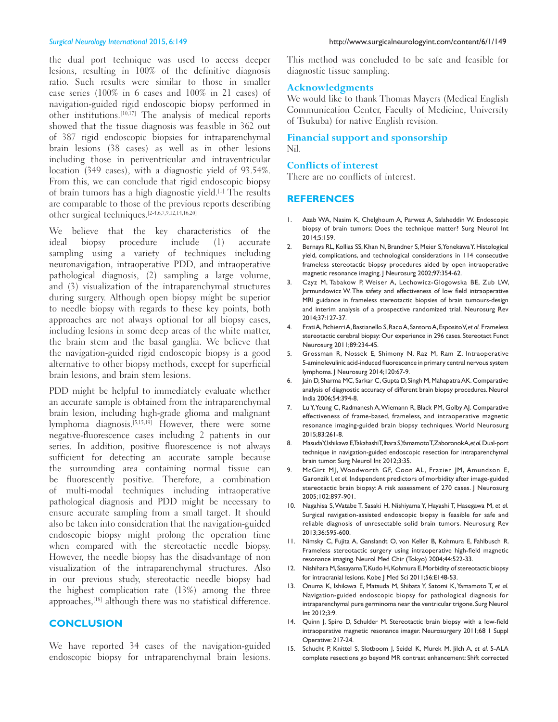the dual port technique was used to access deeper lesions, resulting in 100% of the definitive diagnosis ratio. Such results were similar to those in smaller case series (100% in 6 cases and 100% in 21 cases) of navigation‑guided rigid endoscopic biopsy performed in other institutions.[10,17] The analysis of medical reports showed that the tissue diagnosis was feasible in 362 out of 387 rigid endoscopic biopsies for intraparenchymal brain lesions (38 cases) as well as in other lesions including those in periventricular and intraventricular location (349 cases), with a diagnostic yield of 93.54%. From this, we can conclude that rigid endoscopic biopsy of brain tumors has a high diagnostic yield.[1] The results are comparable to those of the previous reports describing other surgical techniques.[2‑4,6,7,9,12,14,16,20]

We believe that the key characteristics of the ideal biopsy procedure include (1) accurate sampling using a variety of techniques including neuronavigation, intraoperative PDD, and intraoperative pathological diagnosis, (2) sampling a large volume, and (3) visualization of the intraparenchymal structures during surgery. Although open biopsy might be superior to needle biopsy with regards to these key points, both approaches are not always optional for all biopsy cases, including lesions in some deep areas of the white matter, the brain stem and the basal ganglia. We believe that the navigation‑guided rigid endoscopic biopsy is a good alternative to other biopsy methods, except for superficial brain lesions, and brain stem lesions.

PDD might be helpful to immediately evaluate whether an accurate sample is obtained from the intraparenchymal brain lesion, including high-grade glioma and malignant lymphoma diagnosis.[5,15,19] However, there were some negative‑fluorescence cases including 2 patients in our series. In addition, positive fluorescence is not always sufficient for detecting an accurate sample because the surrounding area containing normal tissue can be fluorescently positive. Therefore, a combination of multi-modal techniques including intraoperative pathological diagnosis and PDD might be necessary to ensure accurate sampling from a small target. It should also be taken into consideration that the navigation‑guided endoscopic biopsy might prolong the operation time when compared with the stereotactic needle biopsy. However, the needle biopsy has the disadvantage of non visualization of the intraparenchymal structures. Also in our previous study, stereotactic needle biopsy had the highest complication rate (13%) among the three approaches,[18] although there was no statistical difference.

# **CONCLUSION**

We have reported 34 cases of the navigation-guided endoscopic biopsy for intraparenchymal brain lesions. This method was concluded to be safe and feasible for diagnostic tissue sampling.

### **Acknowledgments**

We would like to thank Thomas Mayers (Medical English Communication Center, Faculty of Medicine, University of Tsukuba) for native English revision.

# **Financial support and sponsorship**  Nil.

### **Conflicts of interest**

There are no conflicts of interest.

# **REFERENCES**

- 1. Azab WA, Nasim K, Chelghoum A, Parwez A, Salaheddin W. Endoscopic biopsy of brain tumors: Does the technique matter? Surg Neurol Int 2014;5:159.
- 2. Bernays RL, Kollias SS, Khan N, Brandner S, Meier S, Yonekawa Y. Histological yield, complications, and technological considerations in 114 consecutive frameless stereotactic biopsy procedures aided by open intraoperative magnetic resonance imaging. J Neurosurg 2002;97:354-62.
- 3. Czyz M, Tabakow P, Weiser A, Lechowicz-Glogowska BE, Zub LW, Jarmundowicz W. The safety and effectiveness of low field intraoperative MRI guidance in frameless stereotactic biopsies of brain tumours-design and interim analysis of a prospective randomized trial. Neurosurg Rev 2014;37:127-37.
- 4. Frati A, Pichierri A, Bastianello S, Raco A, Santoro A, Esposito V, *et al.* Frameless stereotactic cerebral biopsy: Our experience in 296 cases. Stereotact Funct Neurosurg 2011;89:234-45.
- 5. Grossman R, Nossek E, Shimony N, Raz M, Ram Z. Intraoperative 5‑aminolevulinic acid‑induced fluorescence in primary central nervous system lymphoma. J Neurosurg 2014;120:67-9.
- 6. Jain D, Sharma MC, Sarkar C, Gupta D, Singh M, Mahapatra AK. Comparative analysis of diagnostic accuracy of different brain biopsy procedures. Neurol India 2006;54:394-8.
- 7. Lu Y, Yeung C, Radmanesh A, Wiemann R, Black PM, Golby AJ. Comparative effectiveness of frame-based, frameless, and intraoperative magnetic resonance imaging-guided brain biopsy techniques. World Neurosurg 2015;83:261-8.
- 8. Masuda Y, Ishikawa E, Takahashi T, Ihara S, Yamamoto T, Zaboronok A, *et al.* Dual-port technique in navigation-guided endoscopic resection for intraparenchymal brain tumor. Surg Neurol Int 2012;3:35.
- 9. McGirt MJ, Woodworth GF, Coon AL, Frazier JM, Amundson E, Garonzik I, *et al.* Independent predictors of morbidity after image-guided stereotactic brain biopsy: A risk assessment of 270 cases. | Neurosurg 2005;102:897-901.
- 10. Nagahisa S, Watabe T, Sasaki H, Nishiyama Y, Hayashi T, Hasegawa M, *et al.* Surgical navigation-assisted endoscopic biopsy is feasible for safe and reliable diagnosis of unresectable solid brain tumors. Neurosurg Rev 2013;36:595-600.
- 11. Nimsky C, Fujita A, Ganslandt O, von Keller B, Kohmura E, Fahlbusch R. Frameless stereotactic surgery using intraoperative high-field magnetic resonance imaging. Neurol Med Chir (Tokyo) 2004;44:522-33.
- 12. Nishihara M, Sasayama T, Kudo H, Kohmura E. Morbidity of stereotactic biopsy for intracranial lesions. Kobe J Med Sci 2011;56:E148-53.
- 13. Onuma K, Ishikawa E, Matsuda M, Shibata Y, Satomi K, Yamamoto T, *et al.* Navigation-guided endoscopic biopsy for pathological diagnosis for intraparenchymal pure germinoma near the ventricular trigone. Surg Neurol Int 2012;3:9.
- 14. Quinn J, Spiro D, Schulder M. Stereotactic brain biopsy with a low-field intraoperative magnetic resonance imager. Neurosurgery 2011;68 1 Suppl Operative: 217-24.
- 15. Schucht P, Knittel S, Slotboom J, Seidel K, Murek M, Jilch A, *et al.* 5-ALA complete resections go beyond MR contrast enhancement: Shift corrected